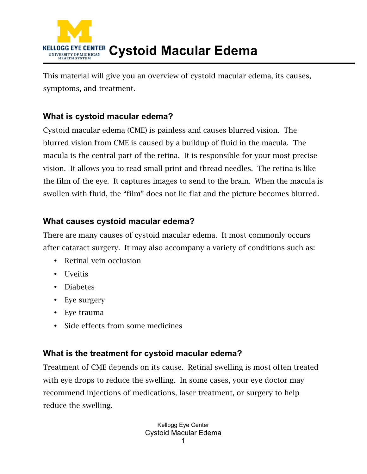

This material will give you an overview of cystoid macular edema, its causes, symptoms, and treatment.

## **What is cystoid macular edema?**

Cystoid macular edema (CME) is painless and causes blurred vision. The blurred vision from CME is caused by a buildup of fluid in the macula. The macula is the central part of the retina. It is responsible for your most precise vision. It allows you to read small print and thread needles. The retina is like the film of the eye. It captures images to send to the brain. When the macula is swollen with fluid, the "film" does not lie flat and the picture becomes blurred.

## **What causes cystoid macular edema?**

There are many causes of cystoid macular edema. It most commonly occurs after cataract surgery. It may also accompany a variety of conditions such as:

- Retinal vein occlusion
- Uveitis
- Diabetes
- Eye surgery
- Eye trauma
- Side effects from some medicines

## **What is the treatment for cystoid macular edema?**

Treatment of CME depends on its cause. Retinal swelling is most often treated with eye drops to reduce the swelling. In some cases, your eye doctor may recommend injections of medications, laser treatment, or surgery to help reduce the swelling.